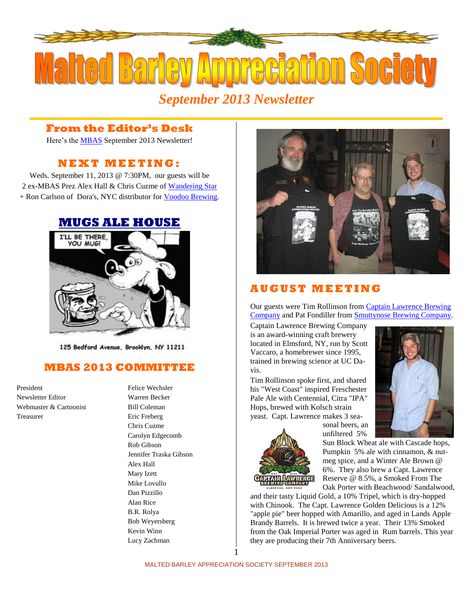

#### **From the Editor's Desk**

Here's the [MBAS](http://hbd.org/mbas) September 2013 Newsletter!

# **N E X T M E ETI N G :**

Weds. September 11, 2013 @ 7:30PM, our guests will be 2 ex-MBAS Prez Alex Hall & Chris Cuzme of [Wandering Star](http://www.wanderingstarbrewing.com/) + Ron Carlson of Dora's, NYC distributor for [Voodoo Brewing.](http://voodoobrewery.com/)

# **[MUGS ALE HOUSE](http://www.mugsalehouse.com/)**



125 Bedford Avenue, Brooklyn, NY 11211

# **MBAS 2013 COMMITTEE**

President Felice Wechsler Newsletter Editor Warren Becker Webmaster & Cartoonist Bill Coleman Treasurer Eric Freberg

Chris Cuzme Carolyn Edgecomb Rob Gibson Jennifer Traska Gibson Alex Hall Mary Izett Mike Lovullo Dan Pizzillo Alan Rice B.R. Rolya Bob Weyersberg Kevin Winn Lucy Zachman



#### **A U G U S T M E E T I N G**

Our guests were Tim Rollinson from [Captain Lawrence Brewing](http://www.captainlawrencebrewing.com/)  [Company](http://www.captainlawrencebrewing.com/) and Pat Fondiller fro[m Smuttynose Brewing Company.](http://smuttynose.com/)

Captain Lawrence Brewing Company is an award-winning craft brewery located in Elmsford, NY, run by Scott Vaccaro, a homebrewer since 1995, trained in brewing science at UC Davis.

Tim Rollinson spoke first, and shared his "West Coast" inspired Freschester Pale Ale with Centennial, Citra "IPA" Hops, brewed with Kolsch strain yeast. Capt. Lawrence makes 3 sea-



sonal beers, an unfiltered 5%

Pumpkin 5% ale with cinnamon, & nutmeg spice, and a Winter Ale Brown @ 6%. They also brew a Capt. Lawrence Reserve @ 8.5%, a Smoked From The

and their tasty Liquid Gold, a 10% Tripel, which is dry-hopped with Chinook. The Capt. Lawrence Golden Delicious is a 12% "apple pie" beer hopped with Amarillo, and aged in Lands Apple Brandy Barrels. It is brewed twice a year. Their 13% Smoked from the Oak Imperial Porter was aged in Rum barrels. This year they are producing their 7th Anniversary beers.